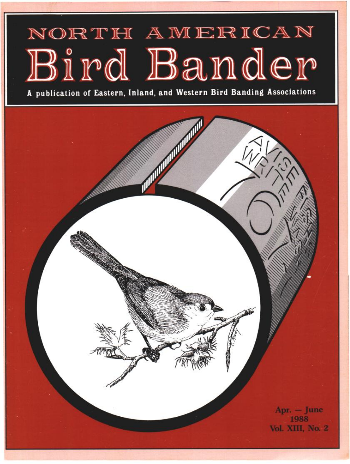# NORTH AMERICAN Bird Bander

**A publication of Eastern, Inland, and Western Bird Banding Associations** 

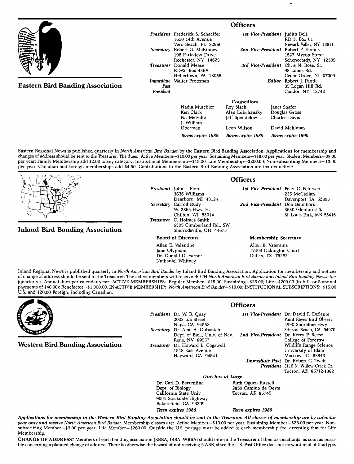|                                         | <b>Officers</b>   |                                                                              |                                |                                                                                   |                                                                |
|-----------------------------------------|-------------------|------------------------------------------------------------------------------|--------------------------------|-----------------------------------------------------------------------------------|----------------------------------------------------------------|
|                                         |                   | President Frederick S. Schaeffer<br>1650 14th Avenue<br>Vero Beach, FL 32960 | 1st Vice-President Judith Bell |                                                                                   | RD 3. Box 61<br>Newark Valley, NY 13811                        |
|                                         |                   | Secretary Robert G. McKinney<br>198 Parkview Drive<br>Rochester, NY 14625    |                                | 2nd Vice-President Robert P. Yunick<br>1527 Myron Street<br>Schenectady, NY 12309 |                                                                |
|                                         | <b>Treasurer</b>  | Donald Mease<br>RD#2, Box 436A                                               |                                |                                                                                   | 3rd Vice-President Chris N. Rose, Sr.<br>98 Lopez Rd.          |
| <b>Eastern Bird Banding Association</b> | Immediate<br>Past | Hellertown PA 18055<br>Walter Protzman                                       |                                | Editor                                                                            | Cedar Grove, NJ 07009<br>Robert J. Pantle<br>35 Logan Hill Rd. |
|                                         |                   | President                                                                    |                                |                                                                                   | Candor, NY 13743                                               |
|                                         |                   |                                                                              | <b>Councillors</b>             |                                                                                   |                                                                |
|                                         |                   | Nadia Mutchler                                                               | Roy Slack                      | Janet Shafer<br>Douglas Gross<br>Charles Davis                                    |                                                                |
|                                         |                   | Ken Clark                                                                    | Alen Lubchansky                |                                                                                   |                                                                |
|                                         |                   | Pat Melville<br>J. William                                                   | Jeff Spendelow                 |                                                                                   |                                                                |
|                                         |                   | Oberman                                                                      | Leon Wilson                    |                                                                                   | David Mehlman                                                  |

**Terms expire 1988 Terms expire 1989 Terms expire 1990** 

**Eastern Regional News is published quarterly in North American Bird Bander by the Eastern Bird Banding Association. Applications for membership and**  changes of address should be sent to the Treasurer. The dues: Active Members-\$10.00 per year; Sustaining Members-\$18.00 per year; Student Members-\$8.00 **per year; Family Membership add \$2.00 to any category; Institutional Membership--\$15.00; Life Membership--S200.00; Non-subscribing Members--S3.00 per year. Canadian and foreign memberships add \$4.50. Contributions to the Eastern Bird Banding Association are tax deductible.** 

**Inland Bird Banding Association** 

**President John J. Flora 3636 Williams Dearborn, MI 48124 Secretary Carroll Rudy W. 3866 Hwy. H. Chilton, WI 53014 Treasurer C. Holmes Smith 6305 Cumberland Rd., SW Sherrodsville, OH 44675** 

**Board of Directors** 

**Allen E. Valentine Jane OIyphant Dr. Donald G. Varner Nathaniel Whitney** 

### **Officers**

**1st Vice-President Peter C. Petersen 235 McClellan Davenport, IA 52803 2nd Vice-President Don Beimborn 3630 Glenhurst S. St. Louis Park, MN 55416** 

#### **Membership Secretary**

**Allen E. Valentine 17403 Oakington Court Dallas, TX 75252** 

**Inland Regional News is published quarterly in North American Bird Bander by Inland Bird Banding Association. Application for membership and notices of change of address should be sent to the Treasurer. The active members will receive BOTH North American Bird Bander and Inland Bird Banding Newsletter**  (quarterly): Annual dues per calendar year: ACTIVE MEMBERSHIPS: Regular Member-\$15.00; Sustaining-\$25.00; Life-\$200.00 (in full, or 5 annual **payments of \$40.00}; Benefactor--\$1,000.00. IN-ACTIVE MEMBERSHIP: North American Bird Bander--\$10.00; INSTITUTIONAL SUBSCRIPTIONS: \$15.00 U.S. and \$20.00 Foreign, including Canadian.** 



**Western Bird Banding Association** 

**President Dr. W. B. Quay 2003 Ida Street Napa, CA 94558 Secretary Dr. Alan A. Gubanich Dept. of Biol., Univ. of Nev. Reno, NV 89557 Treasurer Dr. Howard L. Cogswell 1548 East Avenue Hayward, CA 94541** 

**Officers** 

**Ist Vice-President Dr. David F. DeSante 2nd Vice-President Dr. Kerry P. Reese Immediate Past Dr. Robert C. Tweit President 3116 N. Willow Creek Dr. Point Reyes Bird Observ. 4990 Shoreline Hwy Stinson Beach, CA 94970 College of Forestry Wildlife Range Science University of Idaho Moscow, ID 83843 Tucson, AZ 85712-1382** 

**Directors at Large**<br>Dr. Carl D. Barrentine **Buth** Dr. Carl D. Barrentine **Ruth Ogden Russell**<br>
Dept. of Biology 2850 Camino de Oe **California State Univ. 9001 Stockdale Highway Bakersfield, CA 93309** 

2850 Camino de Oeste<br>Tucson, AZ 85745

**Term expires 1988 Term expires 1989** 

**Applications for membership in the Western Bird Banding Association should be sent to the Treasurer. All classes of membership are by calendar**  year only and receive North American Bird Bander. Membership classes are: Active Member-\$13.00 per year; Sustaining Member-\$26.00 per year; Non**subscribing Member--S3.00 per year; Life Member--S260.00. Outside the U.S. postage must be added to each membership fee, excepting that for Life Membership.** 

**CHANGE OF ADDRESS? Members of each banding association (EBBA, IBBA, WBBA} should inform the Treasurer of their association(s} as soon as possi**ble concerning a planned change of address. There is otherwise the hazard of not receiving NABB, since the U.S. Post Office does not forward mail of this type.